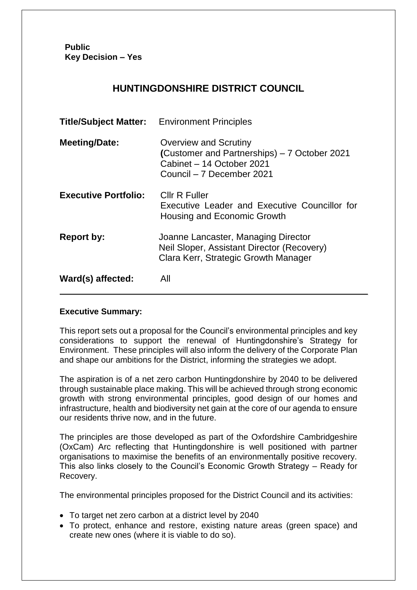**Public Key Decision – Yes**

# **HUNTINGDONSHIRE DISTRICT COUNCIL**

| <b>Title/Subject Matter:</b> Environment Principles |                                                                                                                                        |
|-----------------------------------------------------|----------------------------------------------------------------------------------------------------------------------------------------|
| <b>Meeting/Date:</b>                                | <b>Overview and Scrutiny</b><br>(Customer and Partnerships) - 7 October 2021<br>Cabinet - 14 October 2021<br>Council - 7 December 2021 |
| <b>Executive Portfolio:</b>                         | Cllr R Fuller<br>Executive Leader and Executive Councillor for<br>Housing and Economic Growth                                          |
| <b>Report by:</b>                                   | Joanne Lancaster, Managing Director<br>Neil Sloper, Assistant Director (Recovery)<br>Clara Kerr, Strategic Growth Manager              |
| Ward(s) affected:                                   | All                                                                                                                                    |

### **Executive Summary:**

This report sets out a proposal for the Council's environmental principles and key considerations to support the renewal of Huntingdonshire's Strategy for Environment. These principles will also inform the delivery of the Corporate Plan and shape our ambitions for the District, informing the strategies we adopt.

The aspiration is of a net zero carbon Huntingdonshire by 2040 to be delivered through sustainable place making. This will be achieved through strong economic growth with strong environmental principles, good design of our homes and infrastructure, health and biodiversity net gain at the core of our agenda to ensure our residents thrive now, and in the future.

The principles are those developed as part of the Oxfordshire Cambridgeshire (OxCam) Arc reflecting that Huntingdonshire is well positioned with partner organisations to maximise the benefits of an environmentally positive recovery. This also links closely to the Council's Economic Growth Strategy – Ready for Recovery.

The environmental principles proposed for the District Council and its activities:

- To target net zero carbon at a district level by 2040
- To protect, enhance and restore, existing nature areas (green space) and create new ones (where it is viable to do so).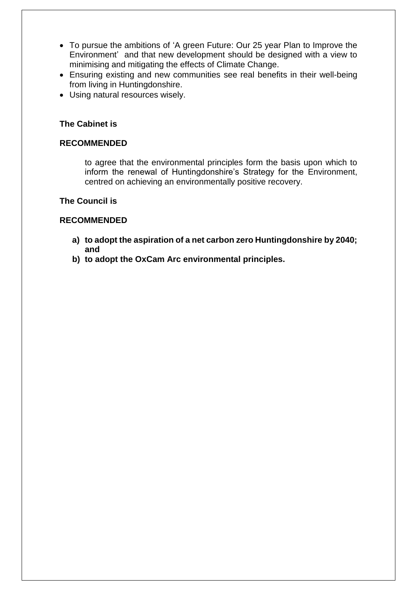- To pursue the ambitions of 'A green Future: Our 25 year Plan to Improve the Environment' and that new development should be designed with a view to minimising and mitigating the effects of Climate Change.
- Ensuring existing and new communities see real benefits in their well-being from living in Huntingdonshire.
- Using natural resources wisely.

#### **The Cabinet is**

#### **RECOMMENDED**

to agree that the environmental principles form the basis upon which to inform the renewal of Huntingdonshire's Strategy for the Environment, centred on achieving an environmentally positive recovery.

#### **The Council is**

#### **RECOMMENDED**

- **a) to adopt the aspiration of a net carbon zero Huntingdonshire by 2040; and**
- **b) to adopt the OxCam Arc environmental principles.**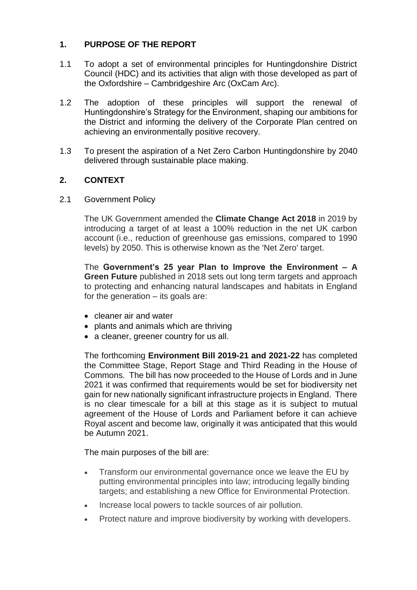## **1. PURPOSE OF THE REPORT**

- 1.1 To adopt a set of environmental principles for Huntingdonshire District Council (HDC) and its activities that align with those developed as part of the Oxfordshire – Cambridgeshire Arc (OxCam Arc).
- 1.2 The adoption of these principles will support the renewal of Huntingdonshire's Strategy for the Environment, shaping our ambitions for the District and informing the delivery of the Corporate Plan centred on achieving an environmentally positive recovery.
- 1.3 To present the aspiration of a Net Zero Carbon Huntingdonshire by 2040 delivered through sustainable place making.

## **2. CONTEXT**

2.1 Government Policy

The UK Government amended the **Climate Change Act 2018** in 2019 by introducing a target of at least a 100% reduction in the net UK carbon account (i.e., reduction of greenhouse gas emissions, compared to 1990 levels) by 2050. This is otherwise known as the 'Net Zero' target.

The **Government's 25 year Plan to Improve the Environment – A Green Future** published in 2018 sets out long term targets and approach to protecting and enhancing natural landscapes and habitats in England for the generation – its goals are:

- cleaner air and water
- plants and animals which are thriving
- a cleaner, greener country for us all.

The forthcoming **Environment Bill 2019-21 and 2021-22** has completed the Committee Stage, Report Stage and Third Reading in the House of Commons. The bill has now proceeded to the House of Lords and in June 2021 it was confirmed that requirements would be set for biodiversity net gain for new nationally significant infrastructure projects in England. There is no clear timescale for a bill at this stage as it is subject to mutual agreement of the House of Lords and Parliament before it can achieve Royal ascent and become law, originally it was anticipated that this would be Autumn 2021.

The main purposes of the bill are:

- Transform our environmental governance once we leave the EU by putting environmental principles into law; introducing legally binding targets; and establishing a new Office for Environmental Protection.
- Increase local powers to tackle sources of air pollution.
- Protect nature and improve biodiversity by working with developers.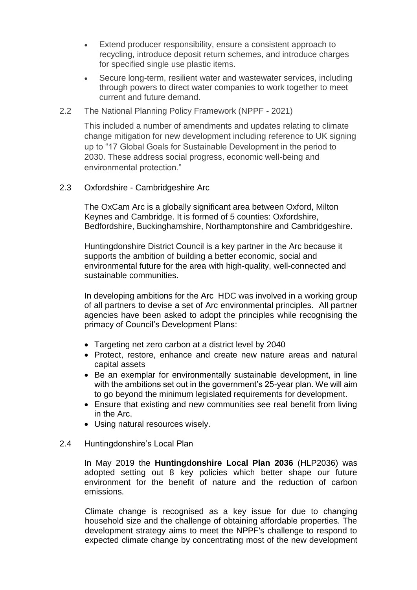- Extend producer responsibility, ensure a consistent approach to recycling, introduce deposit return schemes, and introduce charges for specified single use plastic items.
- Secure long-term, resilient water and wastewater services, including through powers to direct water companies to work together to meet current and future demand.
- 2.2 The National Planning Policy Framework (NPPF 2021)

This included a number of amendments and updates relating to climate change mitigation for new development including reference to UK signing up to "17 Global Goals for Sustainable Development in the period to 2030. These address social progress, economic well-being and environmental protection."

2.3 Oxfordshire - Cambridgeshire Arc

The OxCam Arc is a globally significant area between Oxford, Milton Keynes and Cambridge. It is formed of 5 counties: Oxfordshire, Bedfordshire, Buckinghamshire, Northamptonshire and Cambridgeshire.

Huntingdonshire District Council is a key partner in the Arc because it supports the ambition of building a better economic, social and environmental future for the area with high-quality, well-connected and sustainable communities.

In developing ambitions for the Arc HDC was involved in a working group of all partners to devise a set of Arc environmental principles. All partner agencies have been asked to adopt the principles while recognising the primacy of Council's Development Plans:

- Targeting net zero carbon at a district level by 2040
- Protect, restore, enhance and create new nature areas and natural capital assets
- Be an exemplar for environmentally sustainable development, in line with the ambitions set out in the government's 25-year plan. We will aim to go beyond the minimum legislated requirements for development.
- Ensure that existing and new communities see real benefit from living in the Arc.
- Using natural resources wisely.

#### 2.4 Huntingdonshire's Local Plan

In May 2019 the **Huntingdonshire Local Plan 2036** (HLP2036) was adopted setting out 8 key policies which better shape our future environment for the benefit of nature and the reduction of carbon emissions.

Climate change is recognised as a key issue for due to changing household size and the challenge of obtaining affordable properties. The development strategy aims to meet the NPPF's challenge to respond to expected climate change by concentrating most of the new development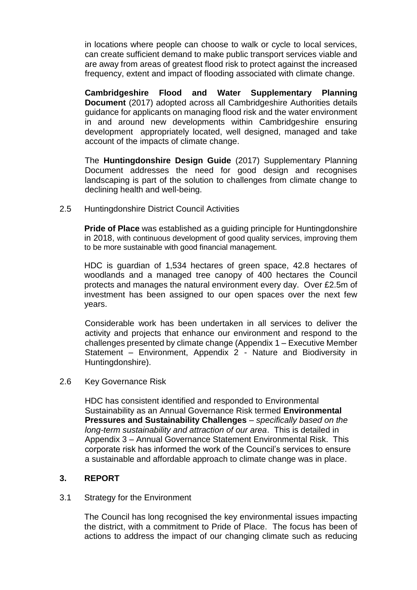in locations where people can choose to walk or cycle to local services, can create sufficient demand to make public transport services viable and are away from areas of greatest flood risk to protect against the increased frequency, extent and impact of flooding associated with climate change.

**Cambridgeshire Flood and Water Supplementary Planning Document** (2017) adopted across all Cambridgeshire Authorities details guidance for applicants on managing flood risk and the water environment in and around new developments within Cambridgeshire ensuring development appropriately located, well designed, managed and take account of the impacts of climate change.

The **Huntingdonshire Design Guide** (2017) Supplementary Planning Document addresses the need for good design and recognises landscaping is part of the solution to challenges from climate change to declining health and well-being.

2.5 Huntingdonshire District Council Activities

**Pride of Place** was established as a guiding principle for Huntingdonshire in 2018, with continuous development of good quality services, improving them to be more sustainable with good financial management.

HDC is guardian of 1,534 hectares of green space, 42.8 hectares of woodlands and a managed tree canopy of 400 hectares the Council protects and manages the natural environment every day. Over £2.5m of investment has been assigned to our open spaces over the next few years.

Considerable work has been undertaken in all services to deliver the activity and projects that enhance our environment and respond to the challenges presented by climate change (Appendix 1 – Executive Member Statement – Environment, Appendix 2 - Nature and Biodiversity in Huntingdonshire).

#### 2.6 Key Governance Risk

HDC has consistent identified and responded to Environmental Sustainability as an Annual Governance Risk termed **Environmental Pressures and Sustainability Challenges** – *specifically based on the long-term sustainability and attraction of our area*. This is detailed in Appendix 3 – Annual Governance Statement Environmental Risk. This corporate risk has informed the work of the Council's services to ensure a sustainable and affordable approach to climate change was in place.

#### **3. REPORT**

#### 3.1 Strategy for the Environment

The Council has long recognised the key environmental issues impacting the district, with a commitment to Pride of Place. The focus has been of actions to address the impact of our changing climate such as reducing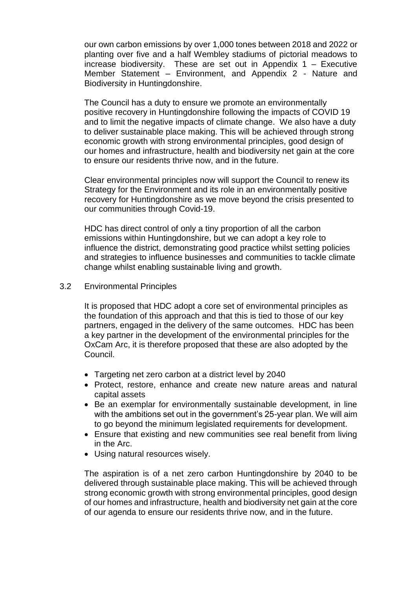our own carbon emissions by over 1,000 tones between 2018 and 2022 or planting over five and a half Wembley stadiums of pictorial meadows to increase biodiversity. These are set out in Appendix 1 – Executive Member Statement – Environment, and Appendix 2 - Nature and Biodiversity in Huntingdonshire.

The Council has a duty to ensure we promote an environmentally positive recovery in Huntingdonshire following the impacts of COVID 19 and to limit the negative impacts of climate change. We also have a duty to deliver sustainable place making. This will be achieved through strong economic growth with strong environmental principles, good design of our homes and infrastructure, health and biodiversity net gain at the core to ensure our residents thrive now, and in the future.

Clear environmental principles now will support the Council to renew its Strategy for the Environment and its role in an environmentally positive recovery for Huntingdonshire as we move beyond the crisis presented to our communities through Covid-19.

HDC has direct control of only a tiny proportion of all the carbon emissions within Huntingdonshire, but we can adopt a key role to influence the district, demonstrating good practice whilst setting policies and strategies to influence businesses and communities to tackle climate change whilst enabling sustainable living and growth.

#### 3.2 Environmental Principles

It is proposed that HDC adopt a core set of environmental principles as the foundation of this approach and that this is tied to those of our key partners, engaged in the delivery of the same outcomes. HDC has been a key partner in the development of the environmental principles for the OxCam Arc, it is therefore proposed that these are also adopted by the Council.

- Targeting net zero carbon at a district level by 2040
- Protect, restore, enhance and create new nature areas and natural capital assets
- Be an exemplar for environmentally sustainable development, in line with the ambitions set out in the government's 25-year plan. We will aim to go beyond the minimum legislated requirements for development.
- Ensure that existing and new communities see real benefit from living in the Arc.
- Using natural resources wisely.

The aspiration is of a net zero carbon Huntingdonshire by 2040 to be delivered through sustainable place making. This will be achieved through strong economic growth with strong environmental principles, good design of our homes and infrastructure, health and biodiversity net gain at the core of our agenda to ensure our residents thrive now, and in the future.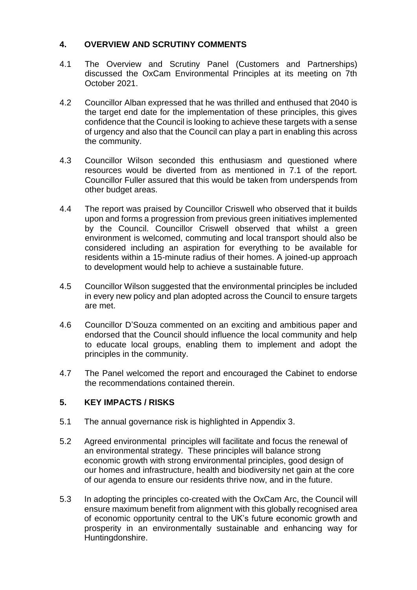### **4. OVERVIEW AND SCRUTINY COMMENTS**

- 4.1 The Overview and Scrutiny Panel (Customers and Partnerships) discussed the OxCam Environmental Principles at its meeting on 7th October 2021.
- 4.2 Councillor Alban expressed that he was thrilled and enthused that 2040 is the target end date for the implementation of these principles, this gives confidence that the Council is looking to achieve these targets with a sense of urgency and also that the Council can play a part in enabling this across the community.
- 4.3 Councillor Wilson seconded this enthusiasm and questioned where resources would be diverted from as mentioned in 7.1 of the report. Councillor Fuller assured that this would be taken from underspends from other budget areas.
- 4.4 The report was praised by Councillor Criswell who observed that it builds upon and forms a progression from previous green initiatives implemented by the Council. Councillor Criswell observed that whilst a green environment is welcomed, commuting and local transport should also be considered including an aspiration for everything to be available for residents within a 15-minute radius of their homes. A joined-up approach to development would help to achieve a sustainable future.
- 4.5 Councillor Wilson suggested that the environmental principles be included in every new policy and plan adopted across the Council to ensure targets are met.
- 4.6 Councillor D'Souza commented on an exciting and ambitious paper and endorsed that the Council should influence the local community and help to educate local groups, enabling them to implement and adopt the principles in the community.
- 4.7 The Panel welcomed the report and encouraged the Cabinet to endorse the recommendations contained therein.

### **5. KEY IMPACTS / RISKS**

- 5.1 The annual governance risk is highlighted in Appendix 3.
- 5.2 Agreed environmental principles will facilitate and focus the renewal of an environmental strategy. These principles will balance strong economic growth with strong environmental principles, good design of our homes and infrastructure, health and biodiversity net gain at the core of our agenda to ensure our residents thrive now, and in the future.
- 5.3 In adopting the principles co-created with the OxCam Arc, the Council will ensure maximum benefit from alignment with this globally recognised area of economic opportunity central to the UK's future economic growth and prosperity in an environmentally sustainable and enhancing way for Huntingdonshire.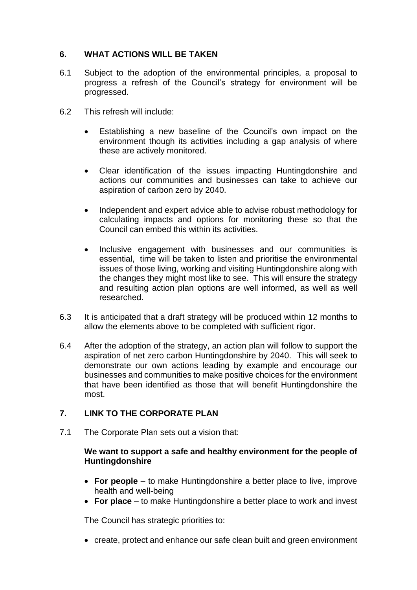#### **6. WHAT ACTIONS WILL BE TAKEN**

- 6.1 Subject to the adoption of the environmental principles, a proposal to progress a refresh of the Council's strategy for environment will be progressed.
- 6.2 This refresh will include:
	- Establishing a new baseline of the Council's own impact on the environment though its activities including a gap analysis of where these are actively monitored.
	- Clear identification of the issues impacting Huntingdonshire and actions our communities and businesses can take to achieve our aspiration of carbon zero by 2040.
	- Independent and expert advice able to advise robust methodology for calculating impacts and options for monitoring these so that the Council can embed this within its activities.
	- Inclusive engagement with businesses and our communities is essential, time will be taken to listen and prioritise the environmental issues of those living, working and visiting Huntingdonshire along with the changes they might most like to see. This will ensure the strategy and resulting action plan options are well informed, as well as well researched.
- 6.3 It is anticipated that a draft strategy will be produced within 12 months to allow the elements above to be completed with sufficient rigor.
- 6.4 After the adoption of the strategy, an action plan will follow to support the aspiration of net zero carbon Huntingdonshire by 2040. This will seek to demonstrate our own actions leading by example and encourage our businesses and communities to make positive choices for the environment that have been identified as those that will benefit Huntingdonshire the most.

### **7. LINK TO THE CORPORATE PLAN**

7.1 The Corporate Plan sets out a vision that:

#### **We want to support a safe and healthy environment for the people of Huntingdonshire**

- **For people** to make Huntingdonshire a better place to live, improve health and well-being
- **For place** to make Huntingdonshire a better place to work and invest

The Council has strategic priorities to:

create, protect and enhance our safe clean built and green environment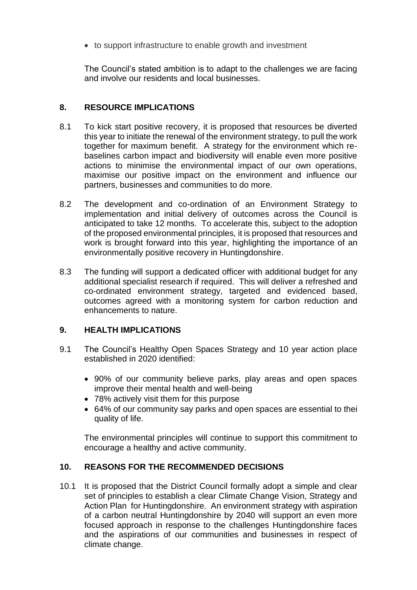to support infrastructure to enable growth and investment

The Council's stated ambition is to adapt to the challenges we are facing and involve our residents and local businesses.

## **8. RESOURCE IMPLICATIONS**

- 8.1 To kick start positive recovery, it is proposed that resources be diverted this year to initiate the renewal of the environment strategy, to pull the work together for maximum benefit. A strategy for the environment which rebaselines carbon impact and biodiversity will enable even more positive actions to minimise the environmental impact of our own operations, maximise our positive impact on the environment and influence our partners, businesses and communities to do more.
- 8.2 The development and co-ordination of an Environment Strategy to implementation and initial delivery of outcomes across the Council is anticipated to take 12 months. To accelerate this, subject to the adoption of the proposed environmental principles, it is proposed that resources and work is brought forward into this year, highlighting the importance of an environmentally positive recovery in Huntingdonshire.
- 8.3 The funding will support a dedicated officer with additional budget for any additional specialist research if required. This will deliver a refreshed and co-ordinated environment strategy, targeted and evidenced based, outcomes agreed with a monitoring system for carbon reduction and enhancements to nature.

### **9. HEALTH IMPLICATIONS**

- 9.1 The Council's Healthy Open Spaces Strategy and 10 year action place established in 2020 identified:
	- 90% of our community believe parks, play areas and open spaces improve their mental health and well-being
	- 78% actively visit them for this purpose
	- 64% of our community say parks and open spaces are essential to thei quality of life.

The environmental principles will continue to support this commitment to encourage a healthy and active community.

### **10. REASONS FOR THE RECOMMENDED DECISIONS**

10.1 It is proposed that the District Council formally adopt a simple and clear set of principles to establish a clear Climate Change Vision, Strategy and Action Plan for Huntingdonshire. An environment strategy with aspiration of a carbon neutral Huntingdonshire by 2040 will support an even more focused approach in response to the challenges Huntingdonshire faces and the aspirations of our communities and businesses in respect of climate change.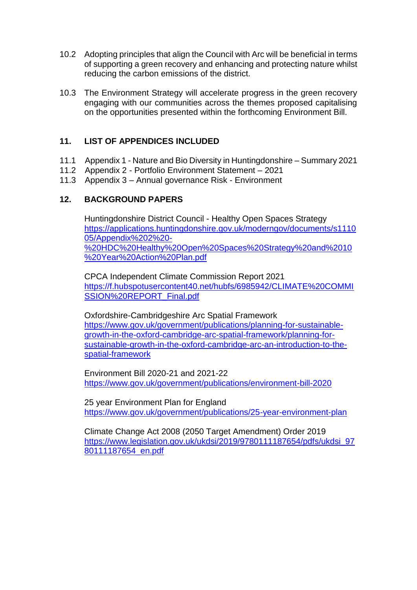- 10.2 Adopting principles that align the Council with Arc will be beneficial in terms of supporting a green recovery and enhancing and protecting nature whilst reducing the carbon emissions of the district.
- 10.3 The Environment Strategy will accelerate progress in the green recovery engaging with our communities across the themes proposed capitalising on the opportunities presented within the forthcoming Environment Bill.

## **11. LIST OF APPENDICES INCLUDED**

- 11.1 Appendix 1 Nature and Bio Diversity in Huntingdonshire Summary 2021
- 11.2 Appendix 2 Portfolio Environment Statement 2021
- 11.3 Appendix 3 Annual governance Risk Environment

### **12. BACKGROUND PAPERS**

Huntingdonshire District Council - Healthy Open Spaces Strategy [https://applications.huntingdonshire.gov.uk/moderngov/documents/s1110](https://applications.huntingdonshire.gov.uk/moderngov/documents/s111005/Appendix%202%20-%20HDC%20Healthy%20Open%20Spaces%20Strategy%20and%2010%20Year%20Action%20Plan.pdf) [05/Appendix%202%20-](https://applications.huntingdonshire.gov.uk/moderngov/documents/s111005/Appendix%202%20-%20HDC%20Healthy%20Open%20Spaces%20Strategy%20and%2010%20Year%20Action%20Plan.pdf) [%20HDC%20Healthy%20Open%20Spaces%20Strategy%20and%2010](https://applications.huntingdonshire.gov.uk/moderngov/documents/s111005/Appendix%202%20-%20HDC%20Healthy%20Open%20Spaces%20Strategy%20and%2010%20Year%20Action%20Plan.pdf) [%20Year%20Action%20Plan.pdf](https://applications.huntingdonshire.gov.uk/moderngov/documents/s111005/Appendix%202%20-%20HDC%20Healthy%20Open%20Spaces%20Strategy%20and%2010%20Year%20Action%20Plan.pdf)

CPCA Independent Climate Commission Report 2021 [https://f.hubspotusercontent40.net/hubfs/6985942/CLIMATE%20COMMI](https://f.hubspotusercontent40.net/hubfs/6985942/CLIMATE%20COMMISSION%20REPORT_Final.pdf) [SSION%20REPORT\\_Final.pdf](https://f.hubspotusercontent40.net/hubfs/6985942/CLIMATE%20COMMISSION%20REPORT_Final.pdf)

Oxfordshire-Cambridgeshire Arc Spatial Framework [https://www.gov.uk/government/publications/planning-for-sustainable](https://www.gov.uk/government/publications/planning-for-sustainable-growth-in-the-oxford-cambridge-arc-spatial-framework/planning-for-sustainable-growth-in-the-oxford-cambridge-arc-an-introduction-to-the-spatial-framework)[growth-in-the-oxford-cambridge-arc-spatial-framework/planning-for](https://www.gov.uk/government/publications/planning-for-sustainable-growth-in-the-oxford-cambridge-arc-spatial-framework/planning-for-sustainable-growth-in-the-oxford-cambridge-arc-an-introduction-to-the-spatial-framework)[sustainable-growth-in-the-oxford-cambridge-arc-an-introduction-to-the](https://www.gov.uk/government/publications/planning-for-sustainable-growth-in-the-oxford-cambridge-arc-spatial-framework/planning-for-sustainable-growth-in-the-oxford-cambridge-arc-an-introduction-to-the-spatial-framework)[spatial-framework](https://www.gov.uk/government/publications/planning-for-sustainable-growth-in-the-oxford-cambridge-arc-spatial-framework/planning-for-sustainable-growth-in-the-oxford-cambridge-arc-an-introduction-to-the-spatial-framework)

Environment Bill 2020-21 and 2021-22 <https://www.gov.uk/government/publications/environment-bill-2020>

25 year Environment Plan for England <https://www.gov.uk/government/publications/25-year-environment-plan>

Climate Change Act 2008 (2050 Target Amendment) Order 2019 [https://www.legislation.gov.uk/ukdsi/2019/9780111187654/pdfs/ukdsi\\_97](https://www.legislation.gov.uk/ukdsi/2019/9780111187654/pdfs/ukdsi_9780111187654_en.pdf) [80111187654\\_en.pdf](https://www.legislation.gov.uk/ukdsi/2019/9780111187654/pdfs/ukdsi_9780111187654_en.pdf)